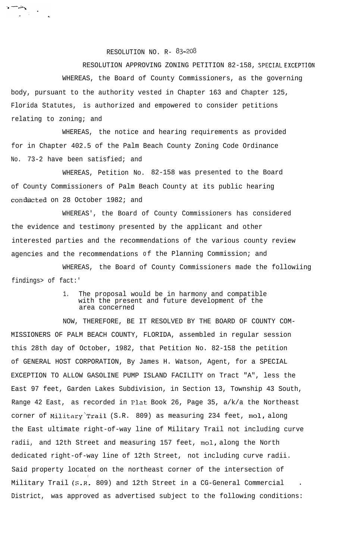RESOLUTION NO. R- 83-208

 $\mathbf{r}$  and  $\mathbf{r}$ 

RESOLUTION APPROVING ZONING PETITION 82-158, **SPECIAL EXCEPTION** WHEREAS, the Board of County Commissioners, as the governing body, pursuant to the authority vested in Chapter 163 and Chapter 125, Florida Statutes, is authorized and empowered to consider petitions relating to zoning; and

WHEREAS, the notice and hearing requirements as provided for in Chapter 402.5 of the Palm Beach County Zoning Code Ordinance No. 73-2 have been satisfied; and

WHEREAS, Petition No. 82-158 was presented to the Board of County Commissioners of Palm Beach County at its public hearing conducted on 28 October 1982; and

WHEREAS', the Board of County Commissioners has considered the evidence and testimony presented by the applicant and other interested parties and the recommendations of the various county review agencies and the recommendations of the Planning Commission; and

WHEREAS, the Board of County Commissioners made the followiing findings> of fact:'

## 1. The proposal would be in harmony and compatible with the present and future development of the area concerned

NOW, THEREFORE, BE IT RESOLVED BY THE BOARD OF COUNTY COM-MISSIONERS OF PALM BEACH COUNTY, FLORIDA, assembled in regular session this 28th day of October, 1982, that Petition No. 82-158 the petition of GENERAL HOST CORPORATION, By James H. Watson, Agent, for a SPECIAL EXCEPTION TO ALLOW GASOLINE PUMP ISLAND FACILITY on Tract "A", less the East 97 feet, Garden Lakes Subdivision, in Section 13, Township 43 South, Range 42 East, as recorded in Plat Book 26, Page 35, a/k/a the Northeast corner of Militnry"'Trai1 (S.R. 809) as measuring 234 feet, **mol,** along the East ultimate right-of-way line of Military Trail not including curve radii, and 12th Street and measuring 157 feet, **mol,** along the North dedicated right-of-way line of 12th Street, not including curve radii. Said property located on the northeast corner of the intersection of , Military Trail (S.R. 809) and 12th Street in a CG-General Commercial <sup>l</sup> District, was approved as advertised subject to the following conditions: